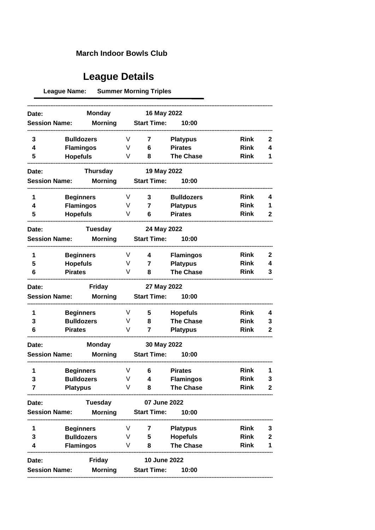## **March Indoor Bowls Club**

## **League Details**

**League Name: Summer Morning Triples** 

|                                                 |                        | <b>Monday</b>   |   | 16 May 2022        |                   |             |                  |
|-------------------------------------------------|------------------------|-----------------|---|--------------------|-------------------|-------------|------------------|
| Date:<br><b>Morning</b><br><b>Session Name:</b> |                        |                 |   | <b>Start Time:</b> | 10:00             |             |                  |
|                                                 |                        |                 |   |                    |                   |             |                  |
| 3                                               | <b>Bulldozers</b>      |                 | V | 7                  | <b>Platypus</b>   | <b>Rink</b> | 2                |
| 4                                               | <b>Flamingos</b>       |                 |   | 6                  | <b>Pirates</b>    | <b>Rink</b> | 4                |
| 5                                               | <b>Hopefuls</b>        |                 |   | 8                  | <b>The Chase</b>  | <b>Rink</b> | 1                |
| Date:                                           |                        | <b>Thursday</b> |   | 19 May 2022        |                   |             |                  |
| <b>Session Name:</b>                            |                        | <b>Morning</b>  |   | <b>Start Time:</b> | 10:00             |             |                  |
| 1                                               | <b>Beginners</b>       |                 | V | 3                  | <b>Bulldozers</b> | <b>Rink</b> | 4                |
| 4                                               | <b>Flamingos</b>       |                 | V | $\overline{7}$     | <b>Platypus</b>   | <b>Rink</b> | 1                |
| 5                                               | <b>Hopefuls</b>        |                 |   | 6                  | <b>Pirates</b>    | <b>Rink</b> | 2                |
| Date:                                           |                        | Tuesday         |   | 24 May 2022        |                   |             |                  |
| <b>Session Name:</b>                            |                        | <b>Morning</b>  |   | <b>Start Time:</b> | 10:00             |             |                  |
| 1                                               | <b>Beginners</b>       |                 | V | 4                  | <b>Flamingos</b>  | <b>Rink</b> | $\mathbf{2}$     |
| 5                                               | <b>Hopefuls</b>        |                 | V | 7                  | <b>Platypus</b>   | <b>Rink</b> | 4                |
| 6                                               | <b>Pirates</b>         |                 | V | 8                  | <b>The Chase</b>  | <b>Rink</b> | 3                |
| Date:                                           |                        | <b>Friday</b>   |   | 27 May 2022        |                   |             |                  |
| <b>Session Name:</b>                            |                        | <b>Morning</b>  |   | <b>Start Time:</b> | 10:00             |             |                  |
| 1                                               | <b>Beginners</b>       |                 | V | 5                  | <b>Hopefuls</b>   | <b>Rink</b> | 4                |
| 3                                               | <b>Bulldozers</b>      |                 | V | 8                  | <b>The Chase</b>  | <b>Rink</b> | 3                |
| 6                                               | <b>Pirates</b>         |                 | V | 7                  | <b>Platypus</b>   | <b>Rink</b> | $\mathbf{2}$     |
| Date:                                           |                        | <b>Monday</b>   |   | 30 May 2022        |                   |             |                  |
| <b>Session Name:</b>                            |                        | <b>Morning</b>  |   | <b>Start Time:</b> | 10:00             |             |                  |
| 1                                               | <b>Beginners</b>       |                 | V | 6                  | <b>Pirates</b>    | <b>Rink</b> | 1                |
| 3                                               | <b>Bulldozers</b>      |                 | V | 4                  | <b>Flamingos</b>  | <b>Rink</b> | 3                |
| 7                                               | <b>Platypus</b>        |                 | V | 8                  | <b>The Chase</b>  | <b>Rink</b> | 2                |
| Date:                                           |                        | <b>Tuesday</b>  |   | 07 June 2022       |                   |             |                  |
| <b>Session Name:</b>                            |                        | <b>Morning</b>  |   | <b>Start Time:</b> | 10:00             |             |                  |
| 1                                               | <b>Beginners</b>       |                 | V | 7                  | <b>Platypus</b>   | <b>Rink</b> | 3                |
| 3                                               | <b>Bulldozers</b><br>V |                 |   | 5                  | <b>Hopefuls</b>   | <b>Rink</b> | $\boldsymbol{2}$ |
| 4                                               | <b>Flamingos</b>       |                 | V | 8                  | <b>The Chase</b>  | <b>Rink</b> | 1                |
| Date:                                           |                        | <b>Friday</b>   |   | 10 June 2022       |                   |             |                  |
| <b>Session Name:</b>                            |                        | <b>Morning</b>  |   | <b>Start Time:</b> | 10:00             |             |                  |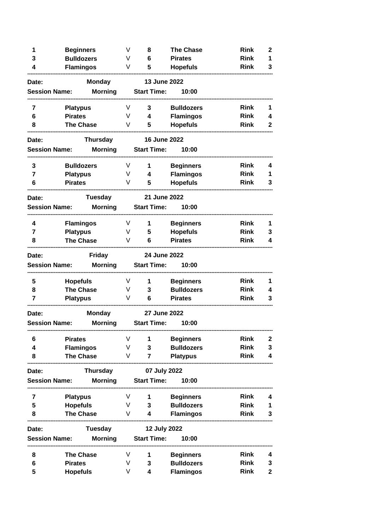| 1                       | <b>Beginners</b><br><b>Bulldozers</b><br><b>Flamingos</b> |   | 8                  | <b>The Chase</b>  | <b>Rink</b> | $\mathbf{2}$ |
|-------------------------|-----------------------------------------------------------|---|--------------------|-------------------|-------------|--------------|
| 3                       |                                                           |   | 6                  | <b>Pirates</b>    | <b>Rink</b> | 1            |
| 4                       |                                                           |   | 5                  | <b>Hopefuls</b>   | <b>Rink</b> | 3            |
| Date:                   | <b>Monday</b>                                             |   | 13 June 2022       |                   |             |              |
| <b>Session Name:</b>    | <b>Morning</b>                                            |   | <b>Start Time:</b> | 10:00             |             |              |
| 7                       | <b>Platypus</b>                                           | V | 3                  | <b>Bulldozers</b> | <b>Rink</b> | 1            |
| 6                       | <b>Pirates</b>                                            | V | 4                  | <b>Flamingos</b>  | <b>Rink</b> | 4            |
| 8                       | <b>The Chase</b>                                          | V | 5.                 | <b>Hopefuls</b>   | <b>Rink</b> | 2            |
| Date:                   | Thursday                                                  |   | 16 June 2022       |                   |             |              |
| <b>Session Name:</b>    | <b>Morning</b>                                            |   | <b>Start Time:</b> | 10:00             |             |              |
| 3                       | <b>Bulldozers</b>                                         | V | 1                  | <b>Beginners</b>  | <b>Rink</b> | 4            |
| 7                       | <b>Platypus</b>                                           | V | 4                  | <b>Flamingos</b>  | <b>Rink</b> | 1            |
| 6                       | <b>Pirates</b>                                            | V | 5                  | <b>Hopefuls</b>   | <b>Rink</b> | 3            |
| Date:                   | <b>Tuesday</b>                                            |   | 21 June 2022       |                   |             |              |
| <b>Session Name:</b>    | <b>Morning</b>                                            |   | <b>Start Time:</b> | 10:00             |             |              |
| 4                       | <b>Flamingos</b>                                          | V | 1                  | <b>Beginners</b>  | <b>Rink</b> | 1            |
| $\overline{\mathbf{z}}$ | <b>Platypus</b>                                           | V | 5                  | <b>Hopefuls</b>   | <b>Rink</b> | 3            |
| 8                       | <b>The Chase</b>                                          | V | 6                  | <b>Pirates</b>    | <b>Rink</b> | 4            |
| Date:                   | <b>Friday</b>                                             |   | 24 June 2022       |                   |             |              |
| <b>Session Name:</b>    | <b>Morning</b>                                            |   | <b>Start Time:</b> | 10:00             |             |              |
| 5                       | <b>Hopefuls</b>                                           | V | 1                  | <b>Beginners</b>  | <b>Rink</b> | 1            |
| 8                       | <b>The Chase</b>                                          |   | V<br>3             | <b>Bulldozers</b> | <b>Rink</b> | 4            |
| 7<br><b>Platypus</b>    |                                                           | V | 6                  | <b>Pirates</b>    | <b>Rink</b> | 3            |
| Date:                   | <b>Monday</b>                                             |   | 27 June 2022       |                   |             |              |
| <b>Session Name:</b>    | <b>Morning</b>                                            |   | <b>Start Time:</b> | 10:00             |             |              |
| 6                       | <b>Pirates</b>                                            | V | 1                  | <b>Beginners</b>  | <b>Rink</b> | 2            |
| 4                       | <b>Flamingos</b>                                          | V | 3                  | <b>Bulldozers</b> | <b>Rink</b> | 3            |
| 8                       | <b>The Chase</b>                                          | V | 7                  | <b>Platypus</b>   | <b>Rink</b> | 4            |
| Date:                   | <b>Thursday</b>                                           |   | 07 July 2022       |                   |             |              |
| <b>Session Name:</b>    | <b>Morning</b>                                            |   | <b>Start Time:</b> | 10:00             |             |              |
| 7                       | <b>Platypus</b>                                           | V | 1                  | <b>Beginners</b>  | <b>Rink</b> | 4            |
| 5                       | <b>Hopefuls</b>                                           | V | 3                  | <b>Bulldozers</b> | <b>Rink</b> | 1            |
| 8                       | <b>The Chase</b>                                          | V | 4                  | <b>Flamingos</b>  | <b>Rink</b> | 3            |
| Date:                   | <b>Tuesday</b>                                            |   | 12 July 2022       |                   |             |              |
| <b>Session Name:</b>    | <b>Morning</b>                                            |   | <b>Start Time:</b> | 10:00             |             |              |
| 8                       | <b>The Chase</b>                                          | V | 1                  | <b>Beginners</b>  | <b>Rink</b> | 4            |
| 6                       | <b>Pirates</b>                                            | V | 3                  | <b>Bulldozers</b> | <b>Rink</b> | 3            |
| 5                       | V<br><b>Hopefuls</b>                                      |   | 4                  | <b>Flamingos</b>  | <b>Rink</b> | $\mathbf 2$  |